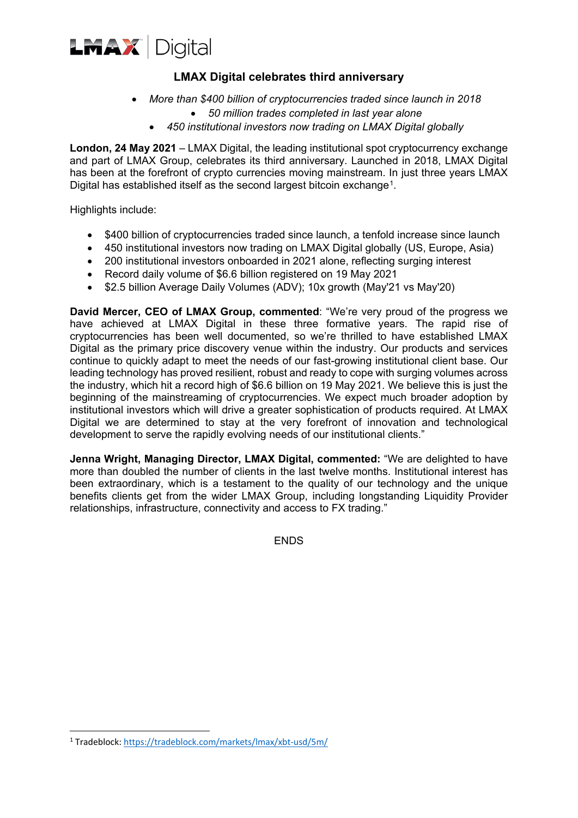

# **LMAX Digital celebrates third anniversary**

- *More than \$400 billion of cryptocurrencies traded since launch in 2018* 
	- *50 million trades completed in last year alone*
	- *450 institutional investors now trading on LMAX Digital globally*

**London, 24 May 2021** – LMAX Digital, the leading institutional spot cryptocurrency exchange and part of LMAX Group, celebrates its third anniversary. Launched in 2018, LMAX Digital has been at the forefront of crypto currencies moving mainstream. In just three years LMAX Digital has established itself as the second largest bitcoin exchange<sup>[1](#page-0-0)</sup>.

Highlights include:

- \$400 billion of cryptocurrencies traded since launch, a tenfold increase since launch
- 450 institutional investors now trading on LMAX Digital globally (US, Europe, Asia)
- 200 institutional investors onboarded in 2021 alone, reflecting surging interest
- Record daily volume of \$6.6 billion registered on 19 May 2021
- \$2.5 billion Average Daily Volumes (ADV); 10x growth (May'21 vs May'20)

**David Mercer, CEO of LMAX Group, commented**: "We're very proud of the progress we have achieved at LMAX Digital in these three formative years. The rapid rise of cryptocurrencies has been well documented, so we're thrilled to have established LMAX Digital as the primary price discovery venue within the industry. Our products and services continue to quickly adapt to meet the needs of our fast-growing institutional client base. Our leading technology has proved resilient, robust and ready to cope with surging volumes across the industry, which hit a record high of \$6.6 billion on 19 May 2021. We believe this is just the beginning of the mainstreaming of cryptocurrencies. We expect much broader adoption by institutional investors which will drive a greater sophistication of products required. At LMAX Digital we are determined to stay at the very forefront of innovation and technological development to serve the rapidly evolving needs of our institutional clients."

**Jenna Wright, Managing Director, LMAX Digital, commented:** "We are delighted to have more than doubled the number of clients in the last twelve months. Institutional interest has been extraordinary, which is a testament to the quality of our technology and the unique benefits clients get from the wider LMAX Group, including longstanding Liquidity Provider relationships, infrastructure, connectivity and access to FX trading."

**ENDS** 

<span id="page-0-0"></span><sup>1</sup> Tradeblock[: https://tradeblock.com/markets/lmax/xbt-usd/5m/](https://tradeblock.com/markets/lmax/xbt-usd/5m/)